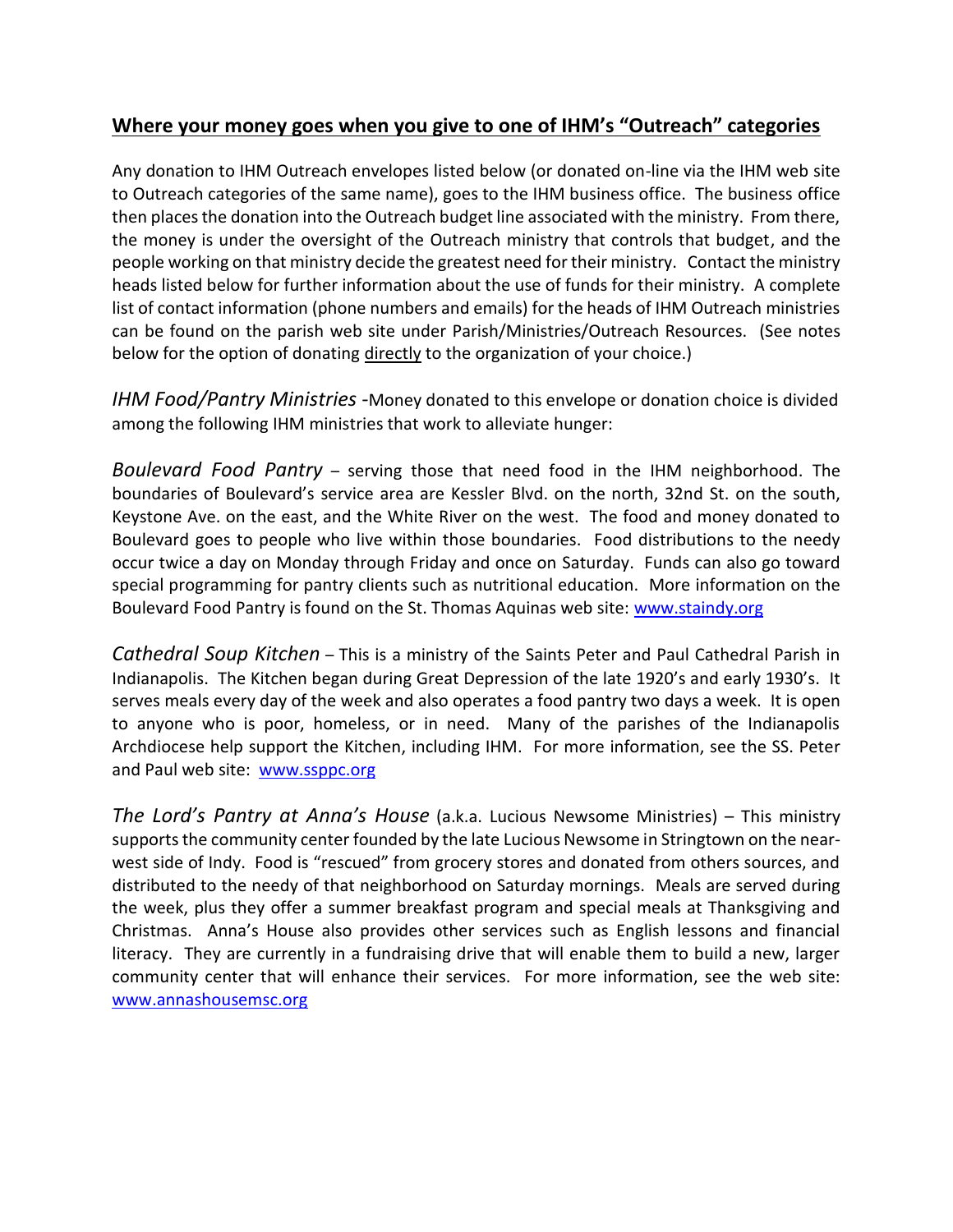## **Where your money goes when you give to one of IHM's "Outreach" categories**

Any donation to IHM Outreach envelopes listed below (or donated on-line via the IHM web site to Outreach categories of the same name), goes to the IHM business office. The business office then places the donation into the Outreach budget line associated with the ministry. From there, the money is under the oversight of the Outreach ministry that controls that budget, and the people working on that ministry decide the greatest need for their ministry. Contact the ministry heads listed below for further information about the use of funds for their ministry. A complete list of contact information (phone numbers and emails) for the heads of IHM Outreach ministries can be found on the parish web site under Parish/Ministries/Outreach Resources. (See notes below for the option of donating directly to the organization of your choice.)

*IHM Food/Pantry Ministries -*Money donated to this envelope or donation choice is divided among the following IHM ministries that work to alleviate hunger:

*Boulevard Food Pantry* – serving those that need food in the IHM neighborhood. The boundaries of Boulevard's service area are Kessler Blvd. on the north, 32nd St. on the south, Keystone Ave. on the east, and the White River on the west. The food and money donated to Boulevard goes to people who live within those boundaries. Food distributions to the needy occur twice a day on Monday through Friday and once on Saturday. Funds can also go toward special programming for pantry clients such as nutritional education. More information on the Boulevard Food Pantry is found on the St. Thomas Aquinas web site: [www.staindy.org](http://www.staindy.org/)

*Cathedral Soup Kitchen* – This is a ministry of the Saints Peter and Paul Cathedral Parish in Indianapolis. The Kitchen began during Great Depression of the late 1920's and early 1930's. It serves meals every day of the week and also operates a food pantry two days a week. It is open to anyone who is poor, homeless, or in need. Many of the parishes of the Indianapolis Archdiocese help support the Kitchen, including IHM. For more information, see the SS. Peter and Paul web site: [www.ssppc.org](http://www.ssppc.org/)

*The Lord's Pantry at Anna's House* (a.k.a. Lucious Newsome Ministries) – This ministry supports the community center founded by the late Lucious Newsome in Stringtown on the nearwest side of Indy. Food is "rescued" from grocery stores and donated from others sources, and distributed to the needy of that neighborhood on Saturday mornings. Meals are served during the week, plus they offer a summer breakfast program and special meals at Thanksgiving and Christmas. Anna's House also provides other services such as English lessons and financial literacy. They are currently in a fundraising drive that will enable them to build a new, larger community center that will enhance their services. For more information, see the web site: [www.annashousemsc.org](http://www.annashousemsc.org/)